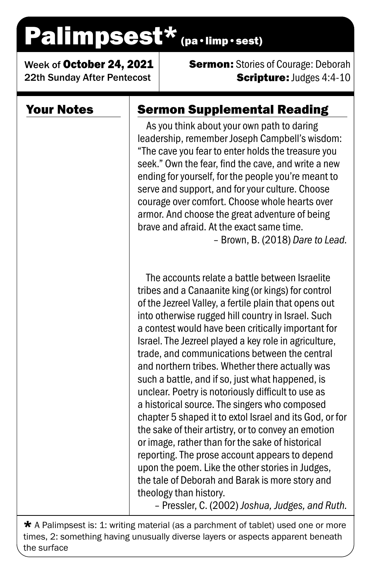# Palimpsest\* (pa·limp·sest)

Week of October 24, 2021 22th Sunday After Pentecost

**Sermon:** Stories of Courage: Deborah **Scripture: Judges 4:4-10** 

#### Your Notes

### Sermon Supplemental Reading

As you think about your own path to daring leadership, remember Joseph Campbell's wisdom: "The cave you fear to enter holds the treasure you seek." Own the fear, find the cave, and write a new ending for yourself, for the people you're meant to serve and support, and for your culture. Choose courage over comfort. Choose whole hearts over armor. And choose the great adventure of being brave and afraid. At the exact same time.

– Brown, B. (2018) *Dare to Lead.*

The accounts relate a battle between Israelite tribes and a Canaanite king (or kings) for control of the Jezreel Valley, a fertile plain that opens out into otherwise rugged hill country in Israel. Such a contest would have been critically important for Israel. The Jezreel played a key role in agriculture, trade, and communications between the central and northern tribes. Whether there actually was such a battle, and if so, just what happened, is unclear. Poetry is notoriously difficult to use as a historical source. The singers who composed chapter 5 shaped it to extol Israel and its God, or for the sake of their artistry, or to convey an emotion or image, rather than for the sake of historical reporting. The prose account appears to depend upon the poem. Like the other stories in Judges, the tale of Deborah and Barak is more story and theology than history.

– Pressler, C. (2002) *Joshua, Judges, and Ruth.*

 $\star$  A Palimpsest is: 1: writing material (as a parchment of tablet) used one or more times, 2: something having unusually diverse layers or aspects apparent beneath the surface